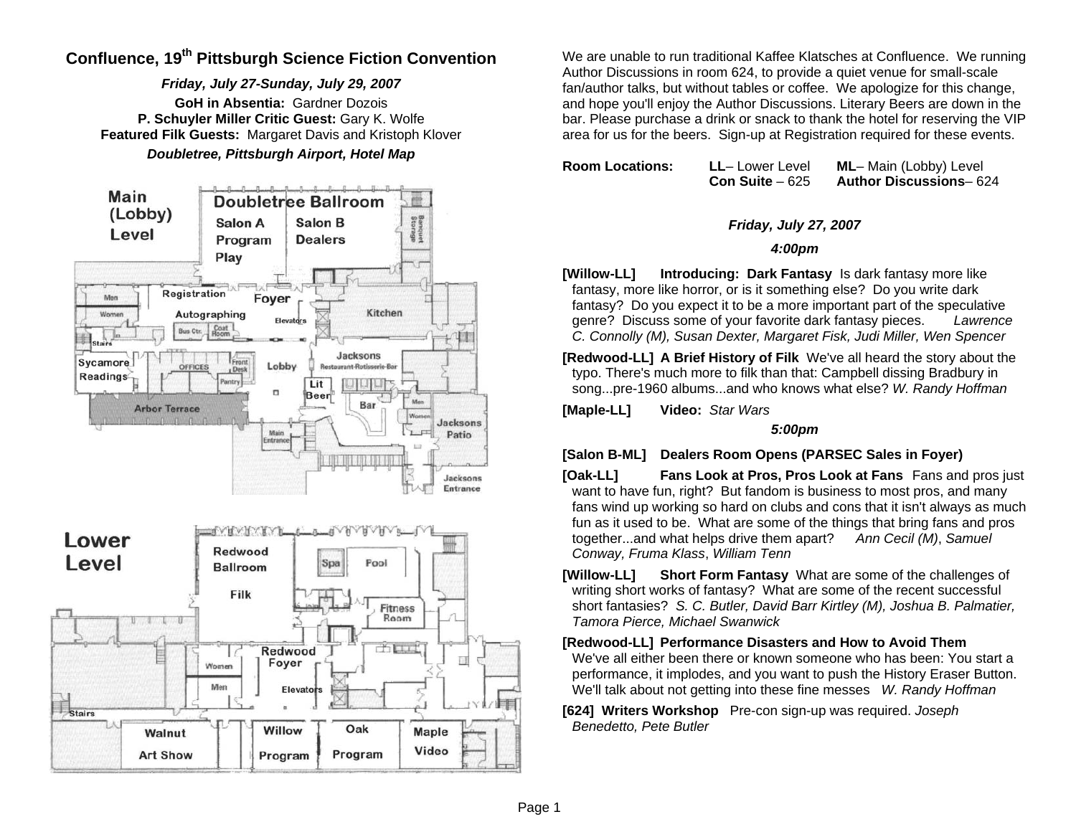# **Confluence, 19th Pittsburgh Science Fiction Convention**

*Friday, July 27-Sunday, July 29, 2007*  **GoH in Absentia:** Gardner Dozois **P. Schuyler Miller Critic Guest:** Gary K. Wolfe **Featured Filk Guests:** Margaret Davis and Kristoph Klover *Doubletree, Pittsburgh Airport, Hotel Map* 



Program

**Art Show** 

Program

We are unable to run traditional Kaffee Klatsches at Confluence. We running Author Discussions in room 624, to provide a quiet venue for small-scale fan/author talks, but without tables or coffee. We apologize for this change, and hope you'll enjoy the Author Discussions. Literary Beers are down in the bar. Please purchase a drink or snack to thank the hotel for reserving the VIP area for us for the beers. Sign-up at Registration required for these events.

**Room Locations: LL**– Lower Level **ML**– Main (Lobby) Level **Con Suite** – 625 **Author Discussions**– 624

#### *Friday, July 27, 2007*

#### *4:00pm*

**[Willow-LL] Introducing: Dark Fantasy** Is dark fantasy more like fantasy, more like horror, or is it something else? Do you write dark fantasy? Do you expect it to be a more important part of the speculative genre? Discuss some of your favorite dark fantasy pieces. *Lawrence C. Connolly (M), Susan Dexter, Margaret Fisk, Judi Miller, Wen Spencer*

**[Redwood-LL] A Brief History of Filk** We've all heard the story about the typo. There's much more to filk than that: Campbell dissing Bradbury in song...pre-1960 albums...and who knows what else? *W. Randy Hoffman*

**[Maple-LL] Video:** *Star Wars* 

#### *5:00pm*

**[Salon B-ML] Dealers Room Opens (PARSEC Sales in Foyer)** 

- **[Oak-LL] Fans Look at Pros, Pros Look at Fans** Fans and pros just want to have fun, right? But fandom is business to most pros, and many fans wind up working so hard on clubs and cons that it isn't always as much fun as it used to be. What are some of the things that bring fans and pros together...and what helps drive them apart? *Ann Cecil (M)*, *Samuel Conway, Fruma Klass*, *William Tenn*
- **[Willow-LL] Short Form Fantasy** What are some of the challenges of writing short works of fantasy? What are some of the recent successful short fantasies? *S. C. Butler, David Barr Kirtley (M), Joshua B. Palmatier, Tamora Pierce, Michael Swanwick*

#### **[Redwood-LL] Performance Disasters and How to Avoid Them**

We've all either been there or known someone who has been: You start a performance, it implodes, and you want to push the History Eraser Button. We'll talk about not getting into these fine messes *W. Randy Hoffman*

**[624] Writers Workshop** Pre-con sign-up was required. *Joseph Benedetto, Pete Butler*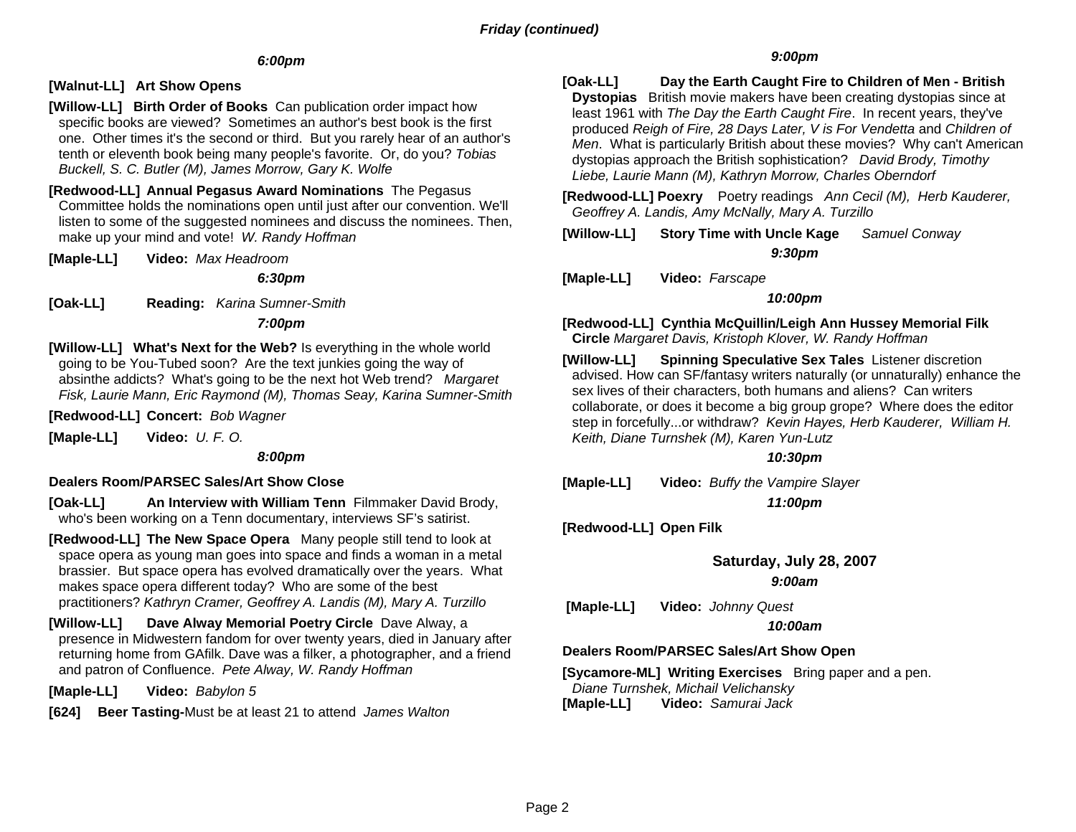## *6:00pm*

## **[Walnut-LL] Art Show Opens**

- **[Willow-LL] Birth Order of Books** Can publication order impact how specific books are viewed? Sometimes an author's best book is the first one. Other times it's the second or third. But you rarely hear of an author's tenth or eleventh book being many people's favorite. Or, do you? *Tobias Buckell, S. C. Butler (M), James Morrow, Gary K. Wolfe*
- **[Redwood-LL] Annual Pegasus Award Nominations** The Pegasus Committee holds the nominations open until just after our convention. We'll listen to some of the suggested nominees and discuss the nominees. Then, make up your mind and vote! *W. Randy Hoffman*
- **[Maple-LL] Video:** *Max Headroom*

#### *6:30pm*

**[Oak-LL] Reading:** *Karina Sumner-Smith*

#### *7:00pm*

**[Willow-LL] What's Next for the Web?** Is everything in the whole world going to be You-Tubed soon? Are the text junkies going the way of absinthe addicts? What's going to be the next hot Web trend? *Margaret Fisk, Laurie Mann, Eric Raymond (M), Thomas Seay, Karina Sumner-Smith* 

#### **[Redwood-LL] Concert:** *Bob Wagner*

**[Maple-LL] Video:** *U. F. O.* 

#### *8:00pm*

#### **Dealers Room/PARSEC Sales/Art Show Close**

- **[Oak-LL] An Interview with William Tenn** Filmmaker David Brody, who's been working on a Tenn documentary, interviews SF's satirist.
- **[Redwood-LL] The New Space Opera** Many people still tend to look at space opera as young man goes into space and finds a woman in a metal brassier. But space opera has evolved dramatically over the years. What makes space opera different today? Who are some of the best practitioners? *Kathryn Cramer, Geoffrey A. Landis (M), Mary A. Turzillo*
- **[Willow-LL] Dave Alway Memorial Poetry Circle** Dave Alway, a presence in Midwestern fandom for over twenty years, died in January after returning home from GAfilk. Dave was a filker, a photographer, and a friend and patron of Confluence. *Pete Alway, W. Randy Hoffman*

**[Maple-LL] Video:** *Babylon 5*

**[624] Beer Tasting-**Must be at least 21 to attend *James Walton*

#### *9:00pm*

**[Oak-LL] Day the Earth Caught Fire to Children of Men - British Dystopias** British movie makers have been creating dystopias since at least 1961 with *The Day the Earth Caught Fire*. In recent years, they've produced *Reigh of Fire, 28 Days Later, V is For Vendetta* and *Children of Men*. What is particularly British about these movies? Why can't American dystopias approach the British sophistication? *David Brody, Timothy Liebe, Laurie Mann (M), Kathryn Morrow, Charles Oberndorf* 

**[Redwood-LL] Poexry** Poetry readings *Ann Cecil (M), Herb Kauderer, Geoffrey A. Landis, Amy McNally, Mary A. Turzillo* 

**[Willow-LL] Story Time with Uncle Kage** *Samuel Conway 9:30pm* 

**[Maple-LL] Video:** *Farscape*

#### *10:00pm*

**[Redwood-LL] Cynthia McQuillin/Leigh Ann Hussey Memorial Filk Circle** *Margaret Davis, Kristoph Klover, W. Randy Hoffman* 

**[Willow-LL] Spinning Speculative Sex Tales** Listener discretion advised. How can SF/fantasy writers naturally (or unnaturally) enhance the sex lives of their characters, both humans and aliens? Can writers collaborate, or does it become a big group grope? Where does the editor step in forcefully...or withdraw? *Kevin Hayes, Herb Kauderer, William H. Keith, Diane Turnshek (M), Karen Yun-Lutz*

#### *10:30pm*

**[Maple-LL] Video:** *Buffy the Vampire Slayer* 

*11:00pm* 

**[Redwood-LL] Open Filk** 

## **Saturday, July 28, 2007**

## *9:00am*

 **[Maple-LL] Video:** *Johnny Quest*

#### *10:00am*

## **Dealers Room/PARSEC Sales/Art Show Open**

**[Sycamore-ML] Writing Exercises** Bring paper and a pen. *Diane Turnshek, Michail Velichansky* **[Maple-LL] Video:** *Samurai Jack*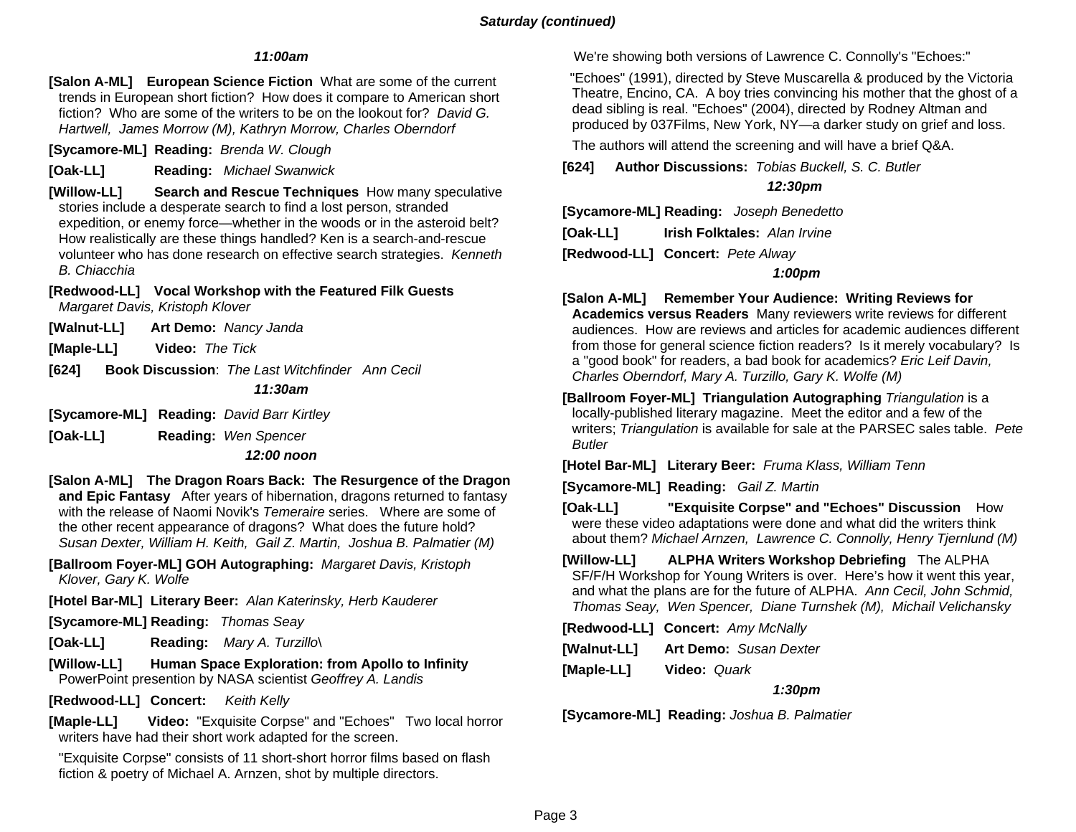## *Saturday (continued)*

#### *11:00am*

**[Salon A-ML] European Science Fiction** What are some of the current trends in European short fiction? How does it compare to American short fiction? Who are some of the writers to be on the lookout for? *David G. Hartwell, James Morrow (M), Kathryn Morrow, Charles Oberndorf* 

**[Sycamore-ML] Reading:** *Brenda W. Clough*

**[Oak-LL] Reading:** *Michael Swanwick*

**[Willow-LL] Search and Rescue Techniques** How many speculative stories include a desperate search to find a lost person, stranded expedition, or enemy force—whether in the woods or in the asteroid belt? How realistically are these things handled? Ken is a search-and-rescue volunteer who has done research on effective search strategies. *Kenneth B. Chiacchia* 

## **[Redwood-LL] Vocal Workshop with the Featured Filk Guests**

*Margaret Davis, Kristoph Klover* 

**[Walnut-LL] Art Demo:** *Nancy Janda* 

**[Maple-LL] Video:** *The Tick*

**[624] Book Discussion**: *The Last Witchfinder Ann Cecil*

#### *11:30am*

**[Sycamore-ML] Reading:** *David Barr Kirtley*

**[Oak-LL] Reading:** *Wen Spencer* 

#### *12:00 noon*

**[Salon A-ML] The Dragon Roars Back: The Resurgence of the Dragon and Epic Fantasy** After years of hibernation, dragons returned to fantasy with the release of Naomi Novik's *Temeraire* series. Where are some of the other recent appearance of dragons? What does the future hold? *Susan Dexter, William H. Keith, Gail Z. Martin, Joshua B. Palmatier (M)*

**[Ballroom Foyer-ML] GOH Autographing:** *Margaret Davis, Kristoph Klover, Gary K. Wolfe*

**[Hotel Bar-ML] Literary Beer:** *Alan Katerinsky, Herb Kauderer*

**[Sycamore-ML] Reading:** *Thomas Seay*

**[Oak-LL] Reading:** *Mary A. Turzillo*\

**[Willow-LL] Human Space Exploration: from Apollo to Infinity**  PowerPoint presention by NASA scientist *Geoffrey A. Landis*

**[Redwood-LL] Concert:** *Keith Kelly*

**[Maple-LL] Video:** "Exquisite Corpse" and "Echoes" Two local horror writers have had their short work adapted for the screen.

 "Exquisite Corpse" consists of 11 short-short horror films based on flash fiction & poetry of Michael A. Arnzen, shot by multiple directors.

We're showing both versions of Lawrence C. Connolly's "Echoes:"

 "Echoes" (1991), directed by Steve Muscarella & produced by the Victoria Theatre, Encino, CA. A boy tries convincing his mother that the ghost of a dead sibling is real. "Echoes" (2004), directed by Rodney Altman and produced by 037Films, New York, NY—a darker study on grief and loss.

The authors will attend the screening and will have a brief Q&A.

**[624] Author Discussions:** *Tobias Buckell, S. C. Butler*

### *12:30pm*

**[Sycamore-ML] Reading:** *Joseph Benedetto*

**[Oak-LL] Irish Folktales:** *Alan Irvine*

**[Redwood-LL] Concert:** *Pete Alway*

#### *1:00pm*

**[Salon A-ML] Remember Your Audience: Writing Reviews for Academics versus Readers** Many reviewers write reviews for different audiences. How are reviews and articles for academic audiences different from those for general science fiction readers? Is it merely vocabulary? Is <sup>a</sup>"good book" for readers, a bad book for academics? *Eric Leif Davin, Charles Oberndorf, Mary A. Turzillo, Gary K. Wolfe (M)* 

**[Ballroom Foyer-ML] Triangulation Autographing** *Triangulation* is a locally-published literary magazine. Meet the editor and a few of the writers; *Triangulation* is available for sale at the PARSEC sales table. *Pete Butler* 

**[Hotel Bar-ML] Literary Beer:** *Fruma Klass, William Tenn*

**[Sycamore-ML] Reading:** *Gail Z. Martin* 

**[Oak-LL] "Exquisite Corpse" and "Echoes" Discussion** How were these video adaptations were done and what did the writers think about them? *Michael Arnzen, Lawrence C. Connolly, Henry Tjernlund (M)*

**[Willow-LL] ALPHA Writers Workshop Debriefing** The ALPHA SF/F/H Workshop for Young Writers is over. Here's how it went this year, and what the plans are for the future of ALPHA. *Ann Cecil, John Schmid, Thomas Seay, Wen Spencer, Diane Turnshek (M), Michail Velichansky*

**[Redwood-LL] Concert:** *Amy McNally* 

**[Walnut-LL] Art Demo:** *Susan Dexter*

**[Maple-LL] Video:** *Quark*

 *1:30pm* 

**[Sycamore-ML] Reading:** *Joshua B. Palmatier*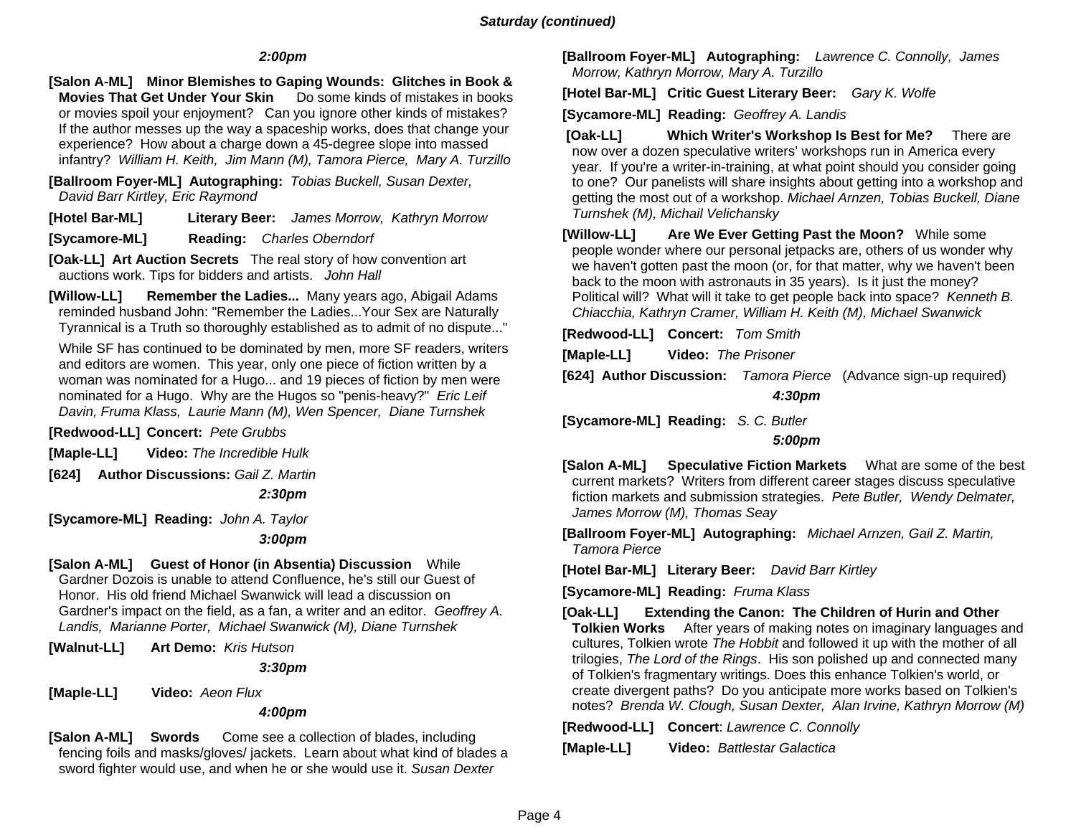## *Saturday (continued)*

## *2:00pm*

**[Salon A-ML] Minor Blemishes to Gaping Wounds: Glitches in Book & Movies That Get Under Your Skin** Do some kinds of mistakes in books or movies spoil your enjoyment? Can you ignore other kinds of mistakes? If the author messes up the way a spaceship works, does that change your experience? How about a charge down a 45-degree slope into massed infantry? *William H. Keith, Jim Mann (M), Tamora Pierce, Mary A. Turzillo*

**[Ballroom Foyer-ML] Autographing:** *Tobias Buckell, Susan Dexter, David Barr Kirtley, Eric Raymond* 

**[Hotel Bar-ML] Literary Beer:** *James Morrow, Kathryn Morrow*

**[Sycamore-ML] Reading:** *Charles Oberndorf*

**[Oak-LL] Art Auction Secrets** The real story of how convention art auctions work. Tips for bidders and artists. *John Hall*

**[Willow-LL] Remember the Ladies...** Many years ago, Abigail Adams reminded husband John: "Remember the Ladies...Your Sex are Naturally Tyrannical is a Truth so thoroughly established as to admit of no dispute..."

 While SF has continued to be dominated by men, more SF readers, writers and editors are women. This year, only one piece of fiction written by a woman was nominated for a Hugo... and 19 pieces of fiction by men were nominated for a Hugo. Why are the Hugos so "penis-heavy?" *Eric Leif Davin, Fruma Klass, Laurie Mann (M), Wen Spencer, Diane Turnshek*

**[Redwood-LL] Concert:** *Pete Grubbs*

**[Maple-LL] Video:** *The Incredible Hulk*

**[624] Author Discussions:** *Gail Z. Martin*

#### *2:30pm*

**[Sycamore-ML] Reading:** *John A. Taylor*

## *3:00pm*

**[Salon A-ML] Guest of Honor (in Absentia) Discussion** While Gardner Dozois is unable to attend Confluence, he's still our Guest of Honor. His old friend Michael Swanwick will lead a discussion on Gardner's impact on the field, as a fan, a writer and an editor. *Geoffrey A. Landis, Marianne Porter, Michael Swanwick (M), Diane Turnshek* 

**[Walnut-LL] Art Demo:** *Kris Hutson* 

 *3:30pm* 

**[Maple-LL] Video:** *Aeon Flux*

#### *4:00pm*

**[Salon A-ML] Swords** Come see a collection of blades, including fencing foils and masks/gloves/ jackets. Learn about what kind of blades a sword fighter would use, and when he or she would use it. *Susan Dexter*

**[Ballroom Foyer-ML] Autographing:** *Lawrence C. Connolly, James Morrow, Kathryn Morrow, Mary A. Turzillo*

**[Hotel Bar-ML] Critic Guest Literary Beer:** *Gary K. Wolfe*

**[Sycamore-ML] Reading:** *Geoffrey A. Landis*

 **[Oak-LL] Which Writer's Workshop Is Best for Me?** There are now over a dozen speculative writers' workshops run in America every year. If you're a writer-in-training, at what point should you consider going to one? Our panelists will share insights about getting into a workshop and getting the most out of a workshop. *Michael Arnzen, Tobias Buckell, Diane Turnshek (M), Michail Velichansky*

**[Willow-LL] Are We Ever Getting Past the Moon?** While some people wonder where our personal jetpacks are, others of us wonder why we haven't gotten past the moon (or, for that matter, why we haven't been back to the moon with astronauts in 35 years). Is it just the money? Political will? What will it take to get people back into space? *Kenneth B. Chiacchia, Kathryn Cramer, William H. Keith (M), Michael Swanwick* 

**[Redwood-LL] Concert:** *Tom Smith*

**[Maple-LL] Video:** *The Prisoner*

**[624] Author Discussion:** *Tamora Pierce* (Advance sign-up required)

 *4:30pm* 

**[Sycamore-ML] Reading:** *S. C. Butler*

## *5:00pm*

**[Salon A-ML] Speculative Fiction Markets** What are some of the best current markets? Writers from different career stages discuss speculative fiction markets and submission strategies. *Pete Butler, Wendy Delmater, James Morrow (M), Thomas Seay*

**[Ballroom Foyer-ML] Autographing:** *Michael Arnzen, Gail Z. Martin, Tamora Pierce*

**[Hotel Bar-ML] Literary Beer:** *David Barr Kirtley* 

**[Sycamore-ML] Reading:** *Fruma Klass*

**[Oak-LL] Extending the Canon: The Children of Hurin and Other Tolkien Works** After years of making notes on imaginary languages and cultures, Tolkien wrote *The Hobbit* and followed it up with the mother of all trilogies, *The Lord of the Rings*. His son polished up and connected many of Tolkien's fragmentary writings. Does this enhance Tolkien's world, or create divergent paths? Do you anticipate more works based on Tolkien's notes? *Brenda W. Clough, Susan Dexter, Alan Irvine, Kathryn Morrow (M)*

**[Redwood-LL] Concert**: *Lawrence C. Connolly* 

**[Maple-LL] Video:** *Battlestar Galactica*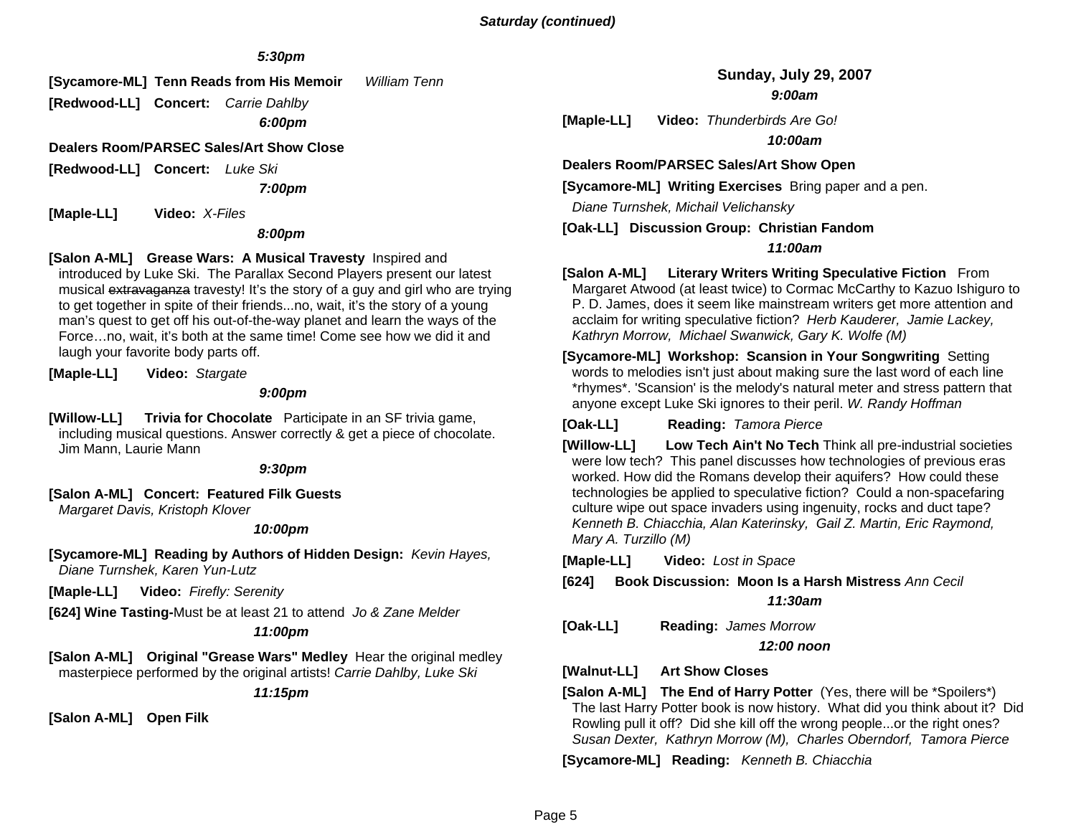## *5:30pm*

**[Sycamore-ML] Tenn Reads from His Memoir** *William Tenn*

**[Redwood-LL] Concert:** *Carrie Dahlby 6:00pm* 

**Dealers Room/PARSEC Sales/Art Show Close** 

**[Redwood-LL] Concert:** *Luke Ski*

 *7:00pm* 

**[Maple-LL] Video:** *X-Files*

*8:00pm* 

#### **[Salon A-ML] Grease Wars: A Musical Travesty** Inspired and

introduced by Luke Ski. The Parallax Second Players present our latest musical extravaganza travesty! It's the story of a guy and girl who are trying to get together in spite of their friends...no, wait, it's the story of a young man's quest to get off his out-of-the-way planet and learn the ways of the Force…no, wait, it's both at the same time! Come see how we did it and laugh your favorite body parts off.

**[Maple-LL] Video:** *Stargate*

 *9:00pm* 

**[Willow-LL] Trivia for Chocolate** Participate in an SF trivia game, including musical questions. Answer correctly & get a piece of chocolate. Jim Mann, Laurie Mann

 *9:30pm* 

**[Salon A-ML] Concert: Featured Filk Guests** 

*Margaret Davis, Kristoph Klover*

#### *10:00pm*

**[Sycamore-ML] Reading by Authors of Hidden Design:** *Kevin Hayes, Diane Turnshek, Karen Yun-Lutz*

**[Maple-LL] Video:** *Firefly: Serenity*

**[624] Wine Tasting-**Must be at least 21 to attend *Jo & Zane Melder*

#### *11:00pm*

**[Salon A-ML] Original "Grease Wars" Medley** Hear the original medley masterpiece performed by the original artists! *Carrie Dahlby, Luke Ski*

*11:15pm* 

**[Salon A-ML] Open Filk**

**Sunday, July 29, 2007**  *9:00am* 

**[Maple-LL] Video:** *Thunderbirds Are Go!* 

*10:00am* 

**Dealers Room/PARSEC Sales/Art Show Open** 

**[Sycamore-ML] Writing Exercises** Bring paper and a pen.

 *Diane Turnshek, Michail Velichansky* 

**[Oak-LL] Discussion Group: Christian Fandom**

#### *11:00am*

**[Salon A-ML] Literary Writers Writing Speculative Fiction** From Margaret Atwood (at least twice) to Cormac McCarthy to Kazuo Ishiguro to P. D. James, does it seem like mainstream writers get more attention and acclaim for writing speculative fiction? *Herb Kauderer, Jamie Lackey, Kathryn Morrow, Michael Swanwick, Gary K. Wolfe (M)*

**[Sycamore-ML] Workshop: Scansion in Your Songwriting** Setting words to melodies isn't just about making sure the last word of each line \*rhymes\*. 'Scansion' is the melody's natural meter and stress pattern that anyone except Luke Ski ignores to their peril. *W. Randy Hoffman*

**[Oak-LL] Reading:** *Tamora Pierce*

**[Willow-LL] Low Tech Ain't No Tech** Think all pre-industrial societies were low tech? This panel discusses how technologies of previous eras worked. How did the Romans develop their aquifers? How could these technologies be applied to speculative fiction? Could a non-spacefaring culture wipe out space invaders using ingenuity, rocks and duct tape? *Kenneth B. Chiacchia, Alan Katerinsky, Gail Z. Martin, Eric Raymond, Mary A. Turzillo (M)*

**[Maple-LL] Video:** *Lost in Space*

**[624] Book Discussion: Moon Is a Harsh Mistress** *Ann Cecil*

*11:30am* 

**[Oak-LL] Reading:** *James Morrow*

*12:00 noon* 

**[Walnut-LL] Art Show Closes** 

**[Salon A-ML] The End of Harry Potter** (Yes, there will be \*Spoilers\*) The last Harry Potter book is now history. What did you think about it? Did Rowling pull it off? Did she kill off the wrong people...or the right ones? *Susan Dexter, Kathryn Morrow (M), Charles Oberndorf, Tamora Pierce*

**[Sycamore-ML] Reading:** *Kenneth B. Chiacchia*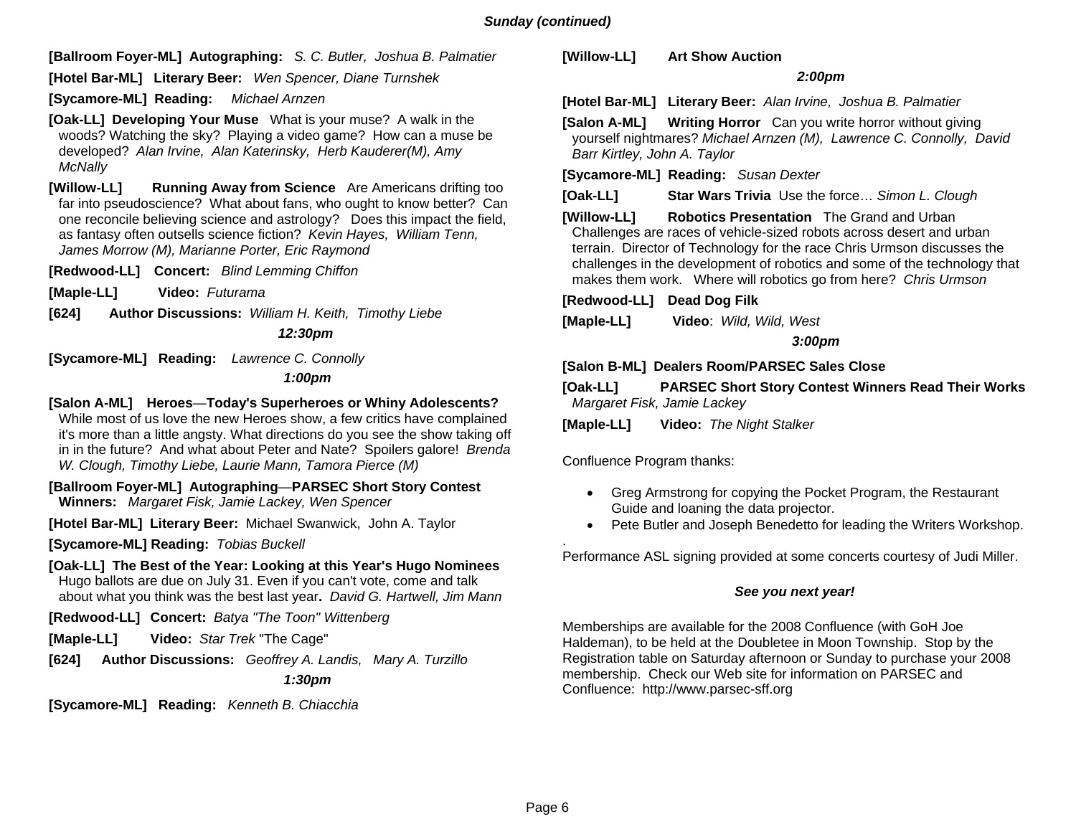**[Ballroom Foyer-ML] Autographing:** *S. C. Butler, Joshua B. Palmatier*

**[Hotel Bar-ML] Literary Beer:** *Wen Spencer, Diane Turnshek*

**[Sycamore-ML] Reading:** *Michael Arnzen*

**[Oak-LL] Developing Your Muse** What is your muse? A walk in the woods? Watching the sky? Playing a video game? How can a muse be developed? *Alan Irvine, Alan Katerinsky, Herb Kauderer(M), Amy McNally* 

**[Willow-LL] Running Away from Science** Are Americans drifting too far into pseudoscience? What about fans, who ought to know better? Can one reconcile believing science and astrology? Does this impact the field, as fantasy often outsells science fiction? *Kevin Hayes, William Tenn, James Morrow (M), Marianne Porter, Eric Raymond*

**[Redwood-LL] Concert:** *Blind Lemming Chiffon*

**[Maple-LL] Video:** *Futurama*

**[624] Author Discussions:** *William H. Keith, Timothy Liebe* 

 *12:30pm* 

**[Sycamore-ML] Reading:** *Lawrence C. Connolly* 

 *1:00pm* 

**[Salon A-ML] Heroes**—**Today's Superheroes or Whiny Adolescents?** 

While most of us love the new Heroes show, a few critics have complained it's more than a little angsty. What directions do you see the show taking off in in the future? And what about Peter and Nate? Spoilers galore! *Brenda W. Clough, Timothy Liebe, Laurie Mann, Tamora Pierce (M)* 

**[Ballroom Foyer-ML] Autographing**—**PARSEC Short Story Contest Winners:** *Margaret Fisk, Jamie Lackey, Wen Spencer* 

**[Hotel Bar-ML] Literary Beer:** Michael Swanwick, John A. Taylor

**[Sycamore-ML] Reading:** *Tobias Buckell*

**[Oak-LL] The Best of the Year: Looking at this Year's Hugo Nominees**  Hugo ballots are due on July 31. Even if you can't vote, come and talk about what you think was the best last year**.** *David G. Hartwell, Jim Mann*

**[Redwood-LL] Concert:** *Batya "The Toon" Wittenberg* 

**[Maple-LL] Video:** *Star Trek* "The Cage"

**[624] Author Discussions:** *Geoffrey A. Landis, Mary A. Turzillo 1:30pm* 

**[Sycamore-ML] Reading:** *Kenneth B. Chiacchia*

**[Willow-LL] Art Show Auction**

#### *2:00pm*

**[Hotel Bar-ML] Literary Beer:** *Alan Irvine, Joshua B. Palmatier*

**[Salon A-ML] Writing Horror** Can you write horror without giving yourself nightmares? *Michael Arnzen (M), Lawrence C. Connolly, David Barr Kirtley, John A. Taylor* 

**[Sycamore-ML] Reading:** *Susan Dexter*

**[Oak-LL] Star Wars Trivia** Use the force… *Simon L. Clough*

**[Willow-LL] Robotics Presentation** The Grand and Urban Challenges are races of vehicle-sized robots across desert and urban terrain. Director of Technology for the race Chris Urmson discusses the challenges in the development of robotics and some of the technology that makes them work. Where will robotics go from here? *Chris Urmson*

**[Redwood-LL] Dead Dog Filk**

**[Maple-LL] Video**: *Wild, Wild, West*

 *3:00pm* 

**[Salon B-ML] Dealers Room/PARSEC Sales Close**

**[Oak-LL] PARSEC Short Story Contest Winners Read Their Works**  *Margaret Fisk, Jamie Lackey* 

**[Maple-LL] Video:** *The Night Stalker* 

Confluence Program thanks:

- Greg Armstrong for copying the Pocket Program, the Restaurant Guide and loaning the data projector.
- Pete Butler and Joseph Benedetto for leading the Writers Workshop.

Performance ASL signing provided at some concerts courtesy of Judi Miller.

## *See you next year!*

Memberships are available for the 2008 Confluence (with GoH Joe Haldeman), to be held at the Doubletee in Moon Township. Stop by the Registration table on Saturday afternoon or Sunday to purchase your 2008 membership. Check our Web site for information on PARSEC and Confluence: http://www.parsec-sff.org

.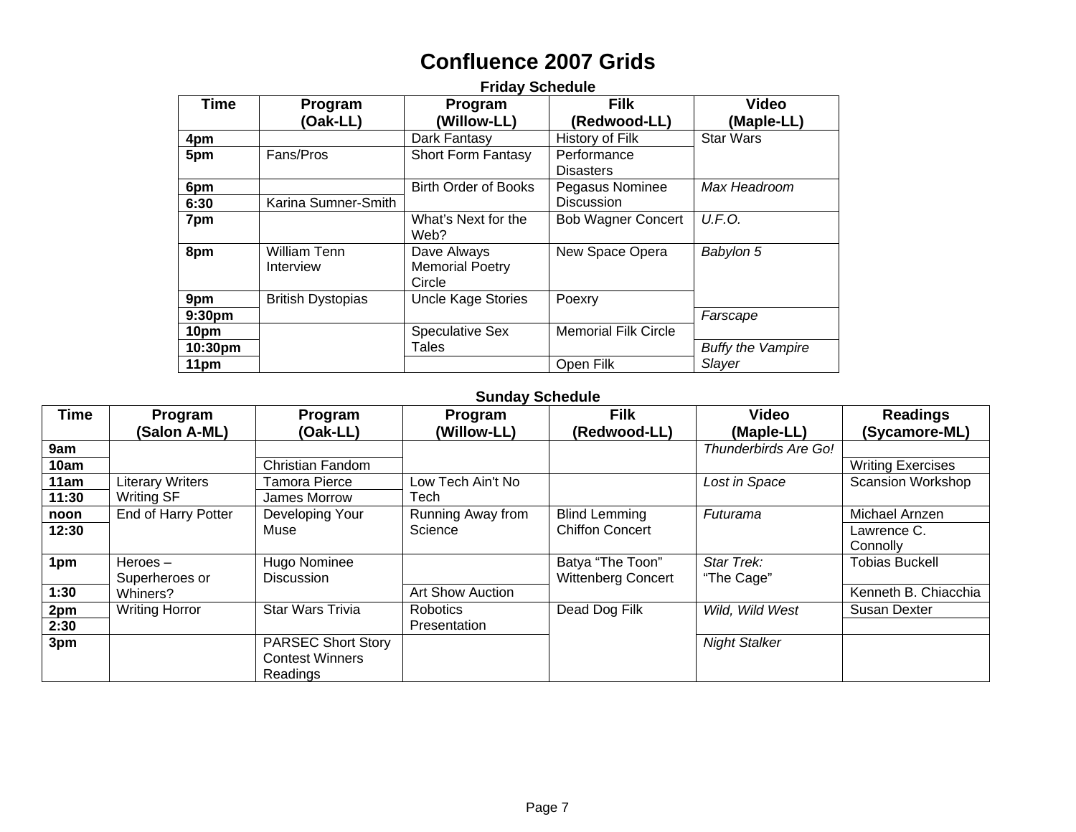# **Confluence 2007 Grids**

|                    | <b>Friday Schedule</b>   |                             |                             |                          |  |  |
|--------------------|--------------------------|-----------------------------|-----------------------------|--------------------------|--|--|
| Time               | Program                  | Program                     | <b>Filk</b>                 | <b>Video</b>             |  |  |
|                    | (Oak-LL)                 | (Willow-LL)                 | (Redwood-LL)                | (Maple-LL)               |  |  |
| 4pm                |                          | Dark Fantasy                | <b>History of Filk</b>      | <b>Star Wars</b>         |  |  |
| 5pm                | Fans/Pros                | <b>Short Form Fantasy</b>   | Performance                 |                          |  |  |
|                    |                          |                             | <b>Disasters</b>            |                          |  |  |
| 6pm                |                          | <b>Birth Order of Books</b> | Pegasus Nominee             | Max Headroom             |  |  |
| 6:30               | Karina Sumner-Smith      |                             | <b>Discussion</b>           |                          |  |  |
| 7pm                |                          | What's Next for the         | <b>Bob Wagner Concert</b>   | U.F.O.                   |  |  |
|                    |                          | Web?                        |                             |                          |  |  |
| 8pm                | <b>William Tenn</b>      | Dave Always                 | New Space Opera             | Babylon 5                |  |  |
|                    | Interview                | <b>Memorial Poetry</b>      |                             |                          |  |  |
|                    |                          | Circle                      |                             |                          |  |  |
| 9pm                | <b>British Dystopias</b> | <b>Uncle Kage Stories</b>   | Poexry                      |                          |  |  |
| 9:30 <sub>pm</sub> |                          |                             |                             | Farscape                 |  |  |
| 10pm               |                          | <b>Speculative Sex</b>      | <b>Memorial Filk Circle</b> |                          |  |  |
| 10:30pm            |                          | Tales                       |                             | <b>Buffy the Vampire</b> |  |  |
| 11pm               |                          |                             | Open Filk                   | Slayer                   |  |  |

### **Sunday Schedule**

| Time  | Program                      | Program                                                         | Program           | <b>Filk</b>                                   | <b>Video</b>             | <b>Readings</b>          |
|-------|------------------------------|-----------------------------------------------------------------|-------------------|-----------------------------------------------|--------------------------|--------------------------|
|       | (Salon A-ML)                 | (Oak-LL)                                                        | (Willow-LL)       | (Redwood-LL)                                  | (Maple-LL)               | (Sycamore-ML)            |
| 9am   |                              |                                                                 |                   |                                               | Thunderbirds Are Go!     |                          |
| 10am  |                              | <b>Christian Fandom</b>                                         |                   |                                               |                          | <b>Writing Exercises</b> |
| 11am  | <b>Literary Writers</b>      | Tamora Pierce                                                   | Low Tech Ain't No |                                               | Lost in Space            | <b>Scansion Workshop</b> |
| 11:30 | <b>Writing SF</b>            | James Morrow                                                    | Tech              |                                               |                          |                          |
| noon  | End of Harry Potter          | Developing Your                                                 | Running Away from | <b>Blind Lemming</b>                          | Futurama                 | Michael Arnzen           |
| 12:30 |                              | Muse                                                            | Science           | <b>Chiffon Concert</b>                        |                          | Lawrence C.<br>Connolly  |
| 1pm   | Heroes $-$<br>Superheroes or | Hugo Nominee<br>Discussion                                      |                   | Batya "The Toon"<br><b>Wittenberg Concert</b> | Star Trek:<br>"The Cage" | <b>Tobias Buckell</b>    |
| 1:30  | Whiners?                     |                                                                 | Art Show Auction  |                                               |                          | Kenneth B. Chiacchia     |
| 2pm   | <b>Writing Horror</b>        | <b>Star Wars Trivia</b>                                         | <b>Robotics</b>   | Dead Dog Filk                                 | Wild, Wild West          | Susan Dexter             |
| 2:30  |                              |                                                                 | Presentation      |                                               |                          |                          |
| 3pm   |                              | <b>PARSEC Short Story</b><br><b>Contest Winners</b><br>Readings |                   |                                               | <b>Night Stalker</b>     |                          |